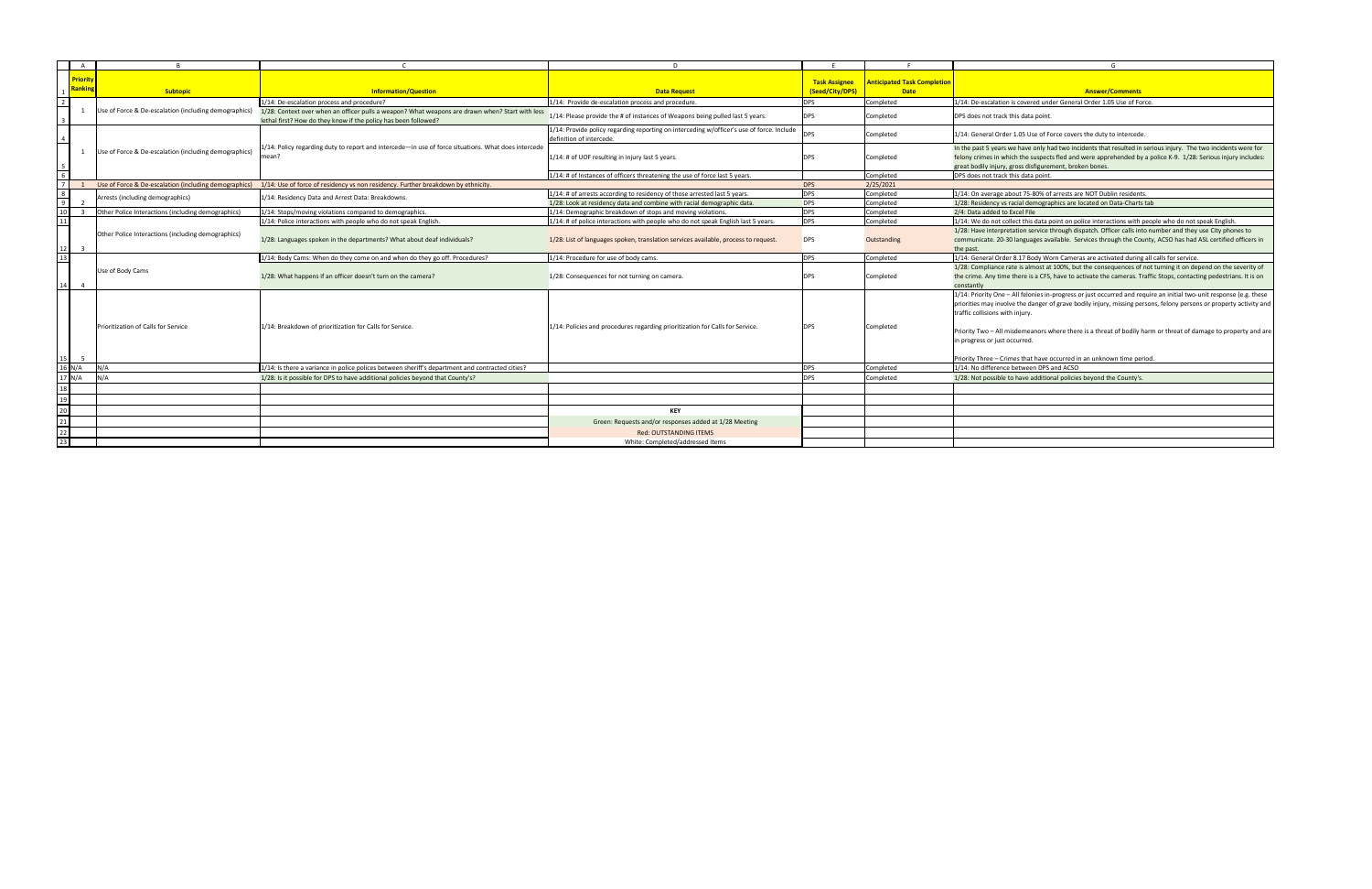|                                                       |                                                                                                     |                                                                                                                       | <b>Task Assignee</b> | <b>Anticipated Task Completion</b> |                                                                                                                         |
|-------------------------------------------------------|-----------------------------------------------------------------------------------------------------|-----------------------------------------------------------------------------------------------------------------------|----------------------|------------------------------------|-------------------------------------------------------------------------------------------------------------------------|
| <b>Subtopic</b>                                       | <b>Information/Question</b>                                                                         | <b>Data Request</b>                                                                                                   | (Seed/City/DPS)      | <b>Date</b>                        | <b>Answer/Comments</b>                                                                                                  |
|                                                       | $1/14$ : De-escalation process and procedure?                                                       | $1/14$ : Provide de-escalation process and procedure.                                                                 | DPS                  | Completed                          | 1/14: De-escalation is covered under General Order 1.05 Use of Force.                                                   |
| Use of Force & De-escalation (including demographics) | 1/28: Context over when an officer pulls a weapon? What weapons are drawn when? Start with less     |                                                                                                                       |                      |                                    |                                                                                                                         |
|                                                       | lethal first? How do they know if the policy has been followed?                                     | 1/14: Please provide the # of instances of Weapons being pulled last 5 years.                                         | <b>DPS</b>           | Completed                          | DPS does not track this data point.                                                                                     |
|                                                       |                                                                                                     | 1/14: Provide policy regarding reporting on interceding w/officer's use of force. Include<br>definition of intercede. | <b>DPS</b>           | Completed                          | 1/14: General Order 1.05 Use of Force covers the duty to intercede.                                                     |
| Use of Force & De-escalation (including demographics) | 1/14: Policy regarding duty to report and intercede—in use of force situations. What does intercede |                                                                                                                       |                      |                                    | In the past 5 years we have only had two incidents that resulted in serious injury. The two incidents were for          |
|                                                       | mean?                                                                                               | 1/14: # of UOF resulting in injury last 5 years.                                                                      | <b>DPS</b>           | Completed                          | felony crimes in which the suspects fled and were apprehended by a police K-9. 1/28: Serious injury includes:           |
|                                                       |                                                                                                     |                                                                                                                       |                      |                                    | great bodily injury, gross disfigurement, broken bones.                                                                 |
|                                                       |                                                                                                     | $1/14$ : # of Instances of officers threatening the use of force last 5 years.                                        |                      | Completed                          | DPS does not track this data point                                                                                      |
| Use of Force & De-escalation (including demographics) | 1/14: Use of force of residency vs non residency. Further breakdown by ethnicity.                   |                                                                                                                       | <b>DPS</b>           | 2/25/2021                          |                                                                                                                         |
| Arrests (including demographics)                      | 1/14: Residency Data and Arrest Data: Breakdowns.                                                   | $1/14$ : # of arrests according to residency of those arrested last 5 years.                                          | <b>DPS</b>           | Completed                          | 1/14: On average about 75-80% of arrests are NOT Dublin residents.                                                      |
|                                                       |                                                                                                     | 1/28: Look at residency data and combine with racial demographic data.                                                | <b>DPS</b>           | Completed                          | 1/28: Residency vs racial demographics are located on Data-Charts tab                                                   |
| Other Police Interactions (including demographics)    | 1/14: Stops/moving violations compared to demographics.                                             | 1/14: Demographic breakdown of stops and moving violations                                                            | <b>DPS</b>           | Completed                          | 2/4: Data added to Excel File                                                                                           |
|                                                       | $1/14$ : Police interactions with people who do not speak English.                                  | $1/14$ : # of police interactions with people who do not speak English last 5 years.                                  | <b>DPS</b>           | Completed                          | $1/14$ : We do not collect this data point on police interactions with people who do not speak English.                 |
| Other Police Interactions (including demographics)    |                                                                                                     |                                                                                                                       |                      |                                    | 1/28: Have interpretation service through dispatch. Officer calls into number and they use City phones to               |
|                                                       | 1/28: Languages spoken in the departments? What about deaf individuals?                             | 1/28: List of languages spoken, translation services available, process to request.                                   | <b>DPS</b>           | Outstanding                        | communicate. 20-30 languages available. Services through the County, ACSO has had ASL certified officers in             |
|                                                       |                                                                                                     |                                                                                                                       |                      |                                    | the past.                                                                                                               |
|                                                       | $1/14$ : Body Cams: When do they come on and when do they go off. Procedures?                       | $1/14$ : Procedure for use of body cams                                                                               | $\overline{DPS}$     | Completed                          | 1/14: General Order 8.17 Body Worn Cameras are activated during all calls for service.                                  |
| Use of Body Cams                                      |                                                                                                     |                                                                                                                       |                      | Completed                          | 1/28: Compliance rate is almost at 100%, but the consequences of not turning it on depend on the severity of            |
|                                                       | 1/28: What happens if an officer doesn't turn on the camera?                                        | 1/28: Consequences for not turning on camera.                                                                         | <b>DPS</b>           |                                    | the crime. Any time there is a CFS, have to activate the cameras. Traffic Stops, contacting pedestrians. It is on       |
|                                                       |                                                                                                     |                                                                                                                       |                      |                                    | constantly                                                                                                              |
|                                                       |                                                                                                     |                                                                                                                       |                      |                                    | $ 1/14$ : Priority One – All felonies in-progress or just occurred and require an initial two-unit response (e.g. these |
|                                                       |                                                                                                     |                                                                                                                       |                      |                                    | priorities may involve the danger of grave bodily injury, missing persons, felony persons or property activity and      |
|                                                       |                                                                                                     |                                                                                                                       |                      |                                    | traffic collisions with injury.                                                                                         |
| Prioritization of Calls for Service                   | 1/14: Breakdown of prioritization for Calls for Service.                                            | 1/14: Policies and procedures regarding prioritization for Calls for Service.                                         | <b>DPS</b>           | Completed                          |                                                                                                                         |
|                                                       |                                                                                                     |                                                                                                                       |                      |                                    | $\vert$ Priority Two – All misdemeanors where there is a threat of bodily harm or threat of damage to property and are  |
|                                                       |                                                                                                     |                                                                                                                       |                      |                                    | in progress or just occurred.                                                                                           |
|                                                       |                                                                                                     |                                                                                                                       |                      |                                    | Priority Three – Crimes that have occurred in an unknown time period.                                                   |
| $16 N/A$ $N/A$                                        | $1/14$ : Is there a variance in police polices between sheriff's department and contracted cities?  |                                                                                                                       | DPS                  | Completed                          | 1/14: No difference between DPS and ACSO                                                                                |
| 17 $N/A$ $N/A$                                        | 1/28: Is it possible for DPS to have additional policies beyond that County's?                      |                                                                                                                       | <b>DPS</b>           | Completed                          | 1/28: Not possible to have additional policies beyond the County's.                                                     |
|                                                       |                                                                                                     |                                                                                                                       |                      |                                    |                                                                                                                         |
|                                                       |                                                                                                     |                                                                                                                       |                      |                                    |                                                                                                                         |
|                                                       |                                                                                                     | <b>KEY</b>                                                                                                            |                      |                                    |                                                                                                                         |
|                                                       |                                                                                                     | Green: Requests and/or responses added at 1/28 Meeting                                                                |                      |                                    |                                                                                                                         |
|                                                       |                                                                                                     | <b>Red: OUTSTANDING ITEMS</b>                                                                                         |                      |                                    |                                                                                                                         |
|                                                       |                                                                                                     | White: Completed/addressed Items                                                                                      |                      |                                    |                                                                                                                         |
|                                                       |                                                                                                     |                                                                                                                       |                      |                                    |                                                                                                                         |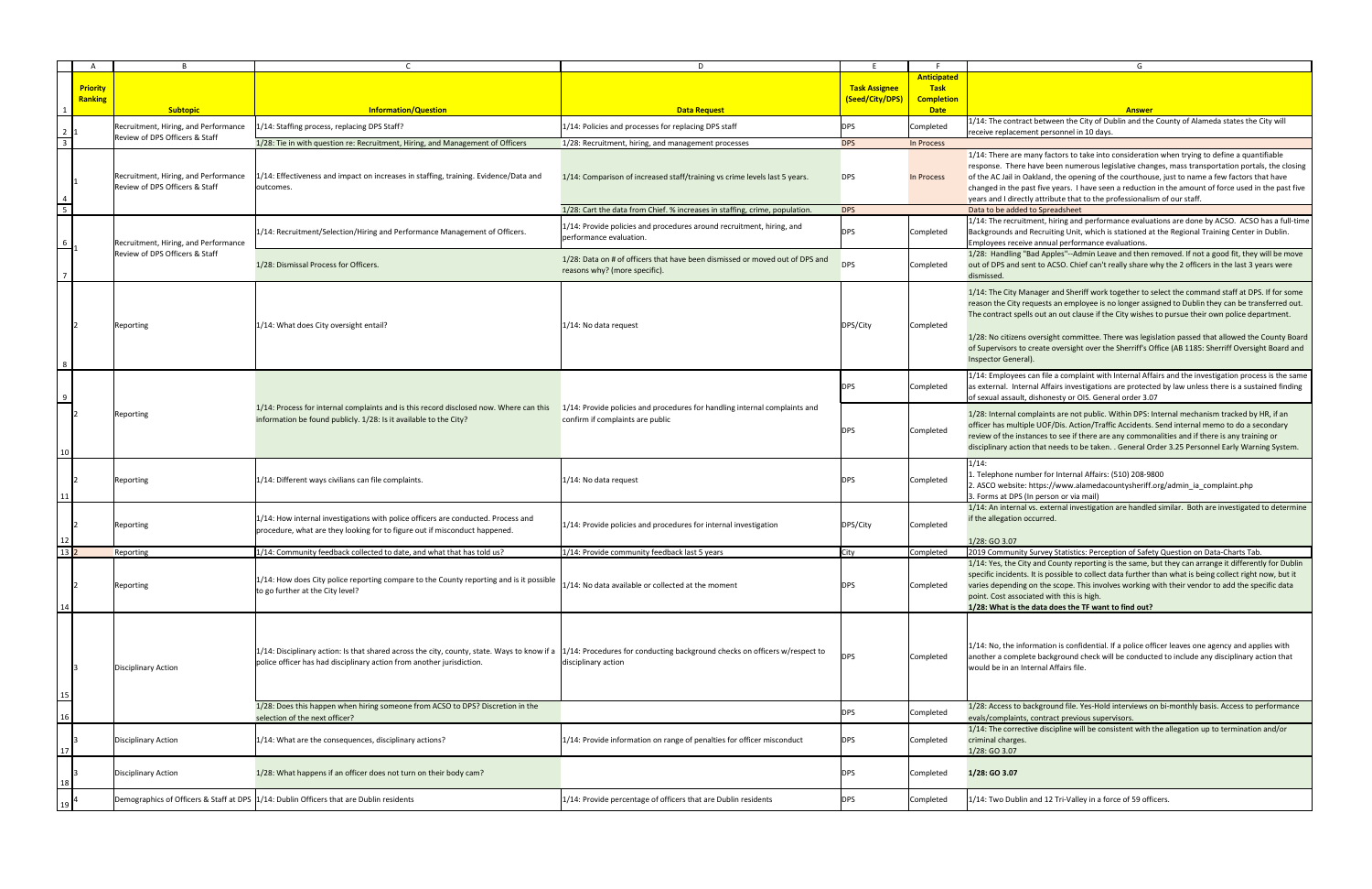|                 |                 |                                      |                                                                                                 | D.                                                                           |                      |                    | G                                                                                                        |
|-----------------|-----------------|--------------------------------------|-------------------------------------------------------------------------------------------------|------------------------------------------------------------------------------|----------------------|--------------------|----------------------------------------------------------------------------------------------------------|
|                 |                 |                                      |                                                                                                 |                                                                              |                      | <b>Anticipated</b> |                                                                                                          |
|                 | <b>Priority</b> |                                      |                                                                                                 |                                                                              | <b>Task Assignee</b> | <b>Task</b>        |                                                                                                          |
|                 | Ranking         |                                      |                                                                                                 |                                                                              | (Seed/City/DPS)      | <b>Completion</b>  |                                                                                                          |
|                 |                 | <b>Subtopic</b>                      | <b>Information/Question</b>                                                                     | <b>Data Request</b>                                                          |                      | <b>Date</b>        | <b>Answer</b>                                                                                            |
|                 |                 |                                      |                                                                                                 |                                                                              |                      |                    |                                                                                                          |
|                 |                 | Recruitment, Hiring, and Performance | 1/14: Staffing process, replacing DPS Staff?                                                    | 1/14: Policies and processes for replacing DPS staff                         | <b>DPS</b>           | Completed          | 1/14: The contract between the City of Dublin and the County of Alameda states the City will             |
| $rac{2}{3}$     |                 | Review of DPS Officers & Staff       |                                                                                                 |                                                                              |                      |                    | receive replacement personnel in 10 days.                                                                |
|                 |                 |                                      | 1/28: Tie in with question re: Recruitment, Hiring, and Management of Officers                  | 1/28: Recruitment, hiring, and management processes                          | <b>DPS</b>           | In Process         |                                                                                                          |
|                 |                 |                                      |                                                                                                 |                                                                              |                      |                    | 1/14: There are many factors to take into consideration when trying to define a quantifiable             |
|                 |                 |                                      |                                                                                                 |                                                                              |                      |                    | response. There have been numerous legislative changes, mass transportation portals, the closing         |
|                 |                 | Recruitment, Hiring, and Performance | 1/14: Effectiveness and impact on increases in staffing, training. Evidence/Data and            | 1/14: Comparison of increased staff/training vs crime levels last 5 years.   | DPS.                 | In Process         | of the AC Jail in Oakland, the opening of the courthouse, just to name a few factors that have           |
|                 |                 | Review of DPS Officers & Staff       | outcomes.                                                                                       |                                                                              |                      |                    | changed in the past five years. I have seen a reduction in the amount of force used in the past five     |
|                 |                 |                                      |                                                                                                 |                                                                              |                      |                    |                                                                                                          |
| $\overline{5}$  |                 |                                      |                                                                                                 |                                                                              |                      |                    | years and I directly attribute that to the professionalism of our staff                                  |
|                 |                 |                                      |                                                                                                 | 1/28: Cart the data from Chief. % increases in staffing, crime, population   | <b>DPS</b>           |                    | Data to be added to Spreadsheet                                                                          |
|                 |                 |                                      |                                                                                                 | $1/14$ : Provide policies and procedures around recruitment, hiring, and     |                      |                    | $ 1/14$ : The recruitment, hiring and performance evaluations are done by ACSO. ACSO has a full-time     |
|                 |                 |                                      | 1/14: Recruitment/Selection/Hiring and Performance Management of Officers.                      |                                                                              | <b>DPS</b>           | Completed          | Backgrounds and Recruiting Unit, which is stationed at the Regional Training Center in Dublin.           |
|                 |                 | Recruitment, Hiring, and Performance |                                                                                                 | performance evaluation.                                                      |                      |                    | Employees receive annual performance evaluations.                                                        |
|                 |                 | Review of DPS Officers & Staff       |                                                                                                 |                                                                              |                      |                    | 1/28: Handling "Bad Apples"--Admin Leave and then removed. If not a good fit, they will be move          |
|                 |                 |                                      | 1/28: Dismissal Process for Officers.                                                           | 1/28: Data on # of officers that have been dismissed or moved out of DPS and | <b>DPS</b>           | Completed          | out of DPS and sent to ACSO. Chief can't really share why the 2 officers in the last 3 years were        |
|                 |                 |                                      |                                                                                                 | reasons why? (more specific).                                                |                      |                    |                                                                                                          |
|                 |                 |                                      |                                                                                                 |                                                                              |                      |                    | dismissed.                                                                                               |
|                 |                 |                                      |                                                                                                 |                                                                              |                      |                    | 1/14: The City Manager and Sheriff work together to select the command staff at DPS. If for some         |
|                 |                 |                                      |                                                                                                 |                                                                              |                      |                    |                                                                                                          |
|                 |                 |                                      |                                                                                                 |                                                                              |                      |                    | reason the City requests an employee is no longer assigned to Dublin they can be transferred out.        |
|                 |                 |                                      |                                                                                                 |                                                                              |                      |                    | The contract spells out an out clause if the City wishes to pursue their own police department.          |
|                 |                 | Reporting                            | 1/14: What does City oversight entail?                                                          | $1/14$ : No data request                                                     | DPS/City             | Completed          |                                                                                                          |
|                 |                 |                                      |                                                                                                 |                                                                              |                      |                    | 1/28: No citizens oversight committee. There was legislation passed that allowed the County Board        |
|                 |                 |                                      |                                                                                                 |                                                                              |                      |                    | of Supervisors to create oversight over the Sherriff's Office (AB 1185: Sherriff Oversight Board and     |
|                 |                 |                                      |                                                                                                 |                                                                              |                      |                    | Inspector General).                                                                                      |
|                 |                 |                                      |                                                                                                 |                                                                              |                      |                    |                                                                                                          |
|                 |                 |                                      |                                                                                                 |                                                                              |                      |                    | $ 1/14$ : Employees can file a complaint with Internal Affairs and the investigation process is the same |
|                 |                 |                                      |                                                                                                 |                                                                              | <b>DPS</b>           | Completed          | as external. Internal Affairs investigations are protected by law unless there is a sustained finding    |
|                 |                 |                                      |                                                                                                 |                                                                              |                      |                    | of sexual assault, dishonesty or OIS. General order 3.07                                                 |
| $\overline{9}$  |                 |                                      |                                                                                                 |                                                                              |                      |                    |                                                                                                          |
|                 |                 | Reporting                            | 1/14: Process for internal complaints and is this record disclosed now. Where can this          | 1/14: Provide policies and procedures for handling internal complaints and   |                      |                    | 1/28: Internal complaints are not public. Within DPS: Internal mechanism tracked by HR, if an            |
|                 |                 |                                      | information be found publicly. 1/28: Is it available to the City?                               | confirm if complaints are public                                             |                      |                    | officer has multiple UOF/Dis. Action/Traffic Accidents. Send internal memo to do a secondary             |
|                 |                 |                                      |                                                                                                 |                                                                              | <b>DPS</b>           | Completed          |                                                                                                          |
|                 |                 |                                      |                                                                                                 |                                                                              |                      |                    | review of the instances to see if there are any commonalities and if there is any training or            |
| 10 <sup>1</sup> |                 |                                      |                                                                                                 |                                                                              |                      |                    | disciplinary action that needs to be taken. . General Order 3.25 Personnel Early Warning System.         |
|                 |                 |                                      |                                                                                                 |                                                                              |                      |                    | $1/14$ :                                                                                                 |
|                 |                 |                                      |                                                                                                 |                                                                              |                      |                    |                                                                                                          |
|                 |                 | Reporting                            | $1/14$ : Different ways civilians can file complaints.                                          | 1/14: No data request                                                        |                      | Completed          | 1. Telephone number for Internal Affairs: (510) 208-9800                                                 |
|                 |                 |                                      |                                                                                                 |                                                                              |                      |                    | 2. ASCO website: https://www.alamedacountysheriff.org/admin_ia_complaint.php                             |
| 11              |                 |                                      |                                                                                                 |                                                                              |                      |                    | 3. Forms at DPS (In person or via mail)                                                                  |
|                 |                 |                                      |                                                                                                 |                                                                              |                      |                    | 1/14: An internal vs. external investigation are handled similar. Both are investigated to determine     |
|                 |                 |                                      | 1/14: How internal investigations with police officers are conducted. Process and               |                                                                              |                      |                    | if the allegation occurred.                                                                              |
|                 |                 | Reporting                            | procedure, what are they looking for to figure out if misconduct happened.                      | $1/14$ : Provide policies and procedures for internal investigation          | DPS/City             | Completed          |                                                                                                          |
| 12              |                 |                                      |                                                                                                 |                                                                              |                      |                    | 1/28: GO 3.07                                                                                            |
| 13 2            |                 |                                      |                                                                                                 |                                                                              |                      |                    |                                                                                                          |
|                 |                 | Reporting                            | 1/14: Community feedback collected to date, and what that has told us?                          | 1/14: Provide community feedback last 5 years                                | City                 | Completed          | 2019 Community Survey Statistics: Perception of Safety Question on Data-Charts Tab.                      |
|                 |                 |                                      |                                                                                                 |                                                                              |                      |                    | 1/14: Yes, the City and County reporting is the same, but they can arrange it differently for Dublin     |
|                 |                 |                                      | $ 1/14$ : How does City police reporting compare to the County reporting and is it possible     |                                                                              |                      |                    | specific incidents. It is possible to collect data further than what is being collect right now, but it  |
|                 |                 | Reporting                            |                                                                                                 | 1/14: No data available or collected at the moment                           |                      | Completed          | varies depending on the scope. This involves working with their vendor to add the specific data          |
|                 |                 |                                      | to go further at the City level?                                                                |                                                                              |                      |                    | point. Cost associated with this is high.                                                                |
| 14              |                 |                                      |                                                                                                 |                                                                              |                      |                    | 1/28: What is the data does the TF want to find out?                                                     |
|                 |                 |                                      |                                                                                                 |                                                                              |                      |                    |                                                                                                          |
|                 |                 |                                      |                                                                                                 |                                                                              |                      |                    |                                                                                                          |
|                 |                 |                                      |                                                                                                 |                                                                              |                      |                    |                                                                                                          |
|                 |                 |                                      |                                                                                                 |                                                                              |                      |                    | $ 1/14$ : No, the information is confidential. If a police officer leaves one agency and applies with    |
|                 |                 |                                      | $ 1/14$ : Disciplinary action: Is that shared across the city, county, state. Ways to know if a | 1/14: Procedures for conducting background checks on officers w/respect to   | <b>DPS</b>           | Completed          |                                                                                                          |
|                 |                 |                                      | police officer has had disciplinary action from another jurisdiction.                           | disciplinary action                                                          |                      |                    | another a complete background check will be conducted to include any disciplinary action that            |
|                 |                 | Disciplinary Action                  |                                                                                                 |                                                                              |                      |                    | would be in an Internal Affairs file.                                                                    |
|                 |                 |                                      |                                                                                                 |                                                                              |                      |                    |                                                                                                          |
|                 |                 |                                      |                                                                                                 |                                                                              |                      |                    |                                                                                                          |
| $\frac{15}{1}$  |                 |                                      |                                                                                                 |                                                                              |                      |                    |                                                                                                          |
|                 |                 |                                      | 1/28: Does this happen when hiring someone from ACSO to DPS? Discretion in the                  |                                                                              | <b>DPS</b>           | Completed          | 1/28: Access to background file. Yes-Hold interviews on bi-monthly basis. Access to performance          |
| 16              |                 |                                      | selection of the next officer?                                                                  |                                                                              |                      |                    | evals/complaints, contract previous supervisors.                                                         |
|                 |                 |                                      |                                                                                                 |                                                                              |                      |                    | 1/14: The corrective discipline will be consistent with the allegation up to termination and/or          |
|                 |                 | Disciplinary Action                  | 1/14: What are the consequences, disciplinary actions?                                          | 1/14: Provide information on range of penalties for officer misconduct       | <b>DPS</b>           | Completed          | criminal charges.                                                                                        |
|                 |                 |                                      |                                                                                                 |                                                                              |                      |                    | 1/28: GO 3.07                                                                                            |
|                 |                 |                                      |                                                                                                 |                                                                              |                      |                    |                                                                                                          |
|                 |                 | Disciplinary Action                  | 1/28: What happens if an officer does not turn on their body cam?                               |                                                                              | <b>DPS</b>           | Completed          | 1/28: GO 3.07                                                                                            |
| 18              |                 |                                      |                                                                                                 |                                                                              |                      |                    |                                                                                                          |
|                 |                 |                                      |                                                                                                 |                                                                              |                      |                    |                                                                                                          |
|                 |                 |                                      | Demographics of Officers & Staff at DPS 1/14: Dublin Officers that are Dublin residents         | 1/14: Provide percentage of officers that are Dublin residents               | <b>DPS</b>           | Completed          | 1/14: Two Dublin and 12 Tri-Valley in a force of 59 officers.                                            |
|                 |                 |                                      |                                                                                                 |                                                                              |                      |                    |                                                                                                          |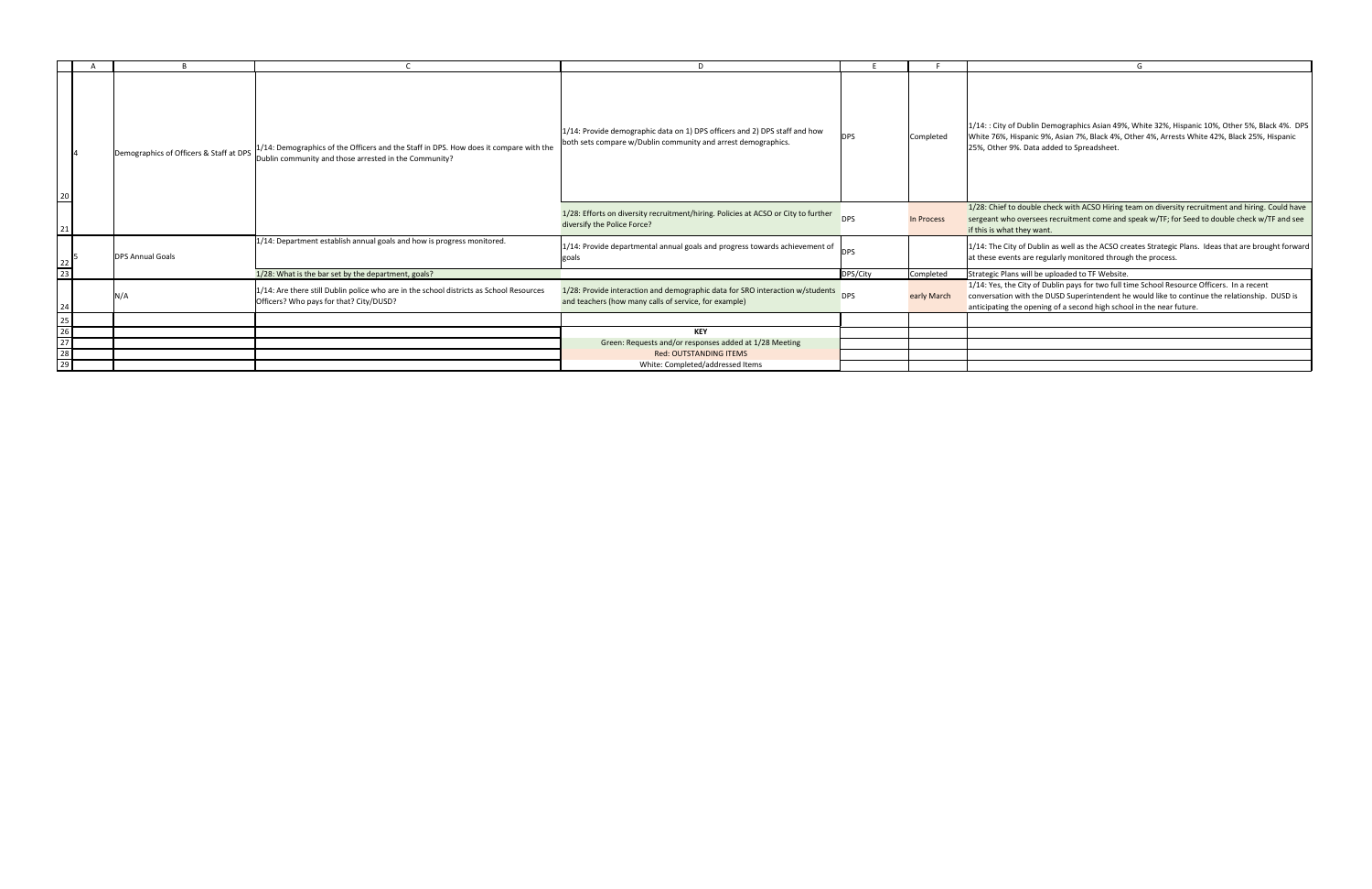

|                                                        |                                         |                                                                                                                                                | D                                                                                                                                              |            |             |                                                                                                                                                                                                                                                                     |
|--------------------------------------------------------|-----------------------------------------|------------------------------------------------------------------------------------------------------------------------------------------------|------------------------------------------------------------------------------------------------------------------------------------------------|------------|-------------|---------------------------------------------------------------------------------------------------------------------------------------------------------------------------------------------------------------------------------------------------------------------|
| $\frac{20}{1}$                                         | Demographics of Officers & Staff at DPS | 1/14: Demographics of the Officers and the Staff in DPS. How does it compare with the<br>Dublin community and those arrested in the Community? | $1/14$ : Provide demographic data on 1) DPS officers and 2) DPS staff and how<br>both sets compare w/Dublin community and arrest demographics. | <b>DPS</b> | Completed   | 1/14:: City of Dublin Demographics Asian 49%, White 32%, Hispanic 10%, Other 5%, Black 4%. DPS<br>White 76%, Hispanic 9%, Asian 7%, Black 4%, Other 4%, Arrests White 42%, Black 25%, Hispanic<br>25%, Other 9%. Data added to Spreadsheet.                         |
|                                                        |                                         |                                                                                                                                                | 1/28: Efforts on diversity recruitment/hiring. Policies at ACSO or City to further<br>diversify the Police Force?                              | <b>DPS</b> | In Process  | 1/28: Chief to double check with ACSO Hiring team on diversity recruitment and hiring. Could have<br>sergeant who oversees recruitment come and speak w/TF; for Seed to double check w/TF and see<br>if this is what they want.                                     |
| $\begin{array}{c c} 22 & 5 \\ \hline 23 & \end{array}$ | <b>DPS Annual Goals</b>                 | 1/14: Department establish annual goals and how is progress monitored.                                                                         | 1/14: Provide departmental annual goals and progress towards achievement of<br>goals                                                           |            |             | $ 1/14$ : The City of Dublin as well as the ACSO creates Strategic Plans. Ideas that are brought forward<br>at these events are regularly monitored through the process.                                                                                            |
|                                                        |                                         | 1/28: What is the bar set by the department, goals?                                                                                            |                                                                                                                                                | DPS/City   | Completed   | Strategic Plans will be uploaded to TF Website.                                                                                                                                                                                                                     |
| 24                                                     |                                         | $1/14$ : Are there still Dublin police who are in the school districts as School Resources<br>Officers? Who pays for that? City/DUSD?          | 1/28: Provide interaction and demographic data for SRO interaction w/students<br>and teachers (how many calls of service, for example)         | <b>DPS</b> | early March | 1/14: Yes, the City of Dublin pays for two full time School Resource Officers. In a recent<br>conversation with the DUSD Superintendent he would like to continue the relationship. DUSD is<br>anticipating the opening of a second high school in the near future. |
| 25                                                     |                                         |                                                                                                                                                |                                                                                                                                                |            |             |                                                                                                                                                                                                                                                                     |
| $\frac{1}{26}$                                         |                                         |                                                                                                                                                | <b>KEY</b>                                                                                                                                     |            |             |                                                                                                                                                                                                                                                                     |
|                                                        |                                         |                                                                                                                                                | Green: Requests and/or responses added at 1/28 Meeting                                                                                         |            |             |                                                                                                                                                                                                                                                                     |
| $\overline{28}$                                        |                                         |                                                                                                                                                | Red: OUTSTANDING ITEMS                                                                                                                         |            |             |                                                                                                                                                                                                                                                                     |
| $\overline{29}$                                        |                                         |                                                                                                                                                | White: Completed/addressed Items                                                                                                               |            |             |                                                                                                                                                                                                                                                                     |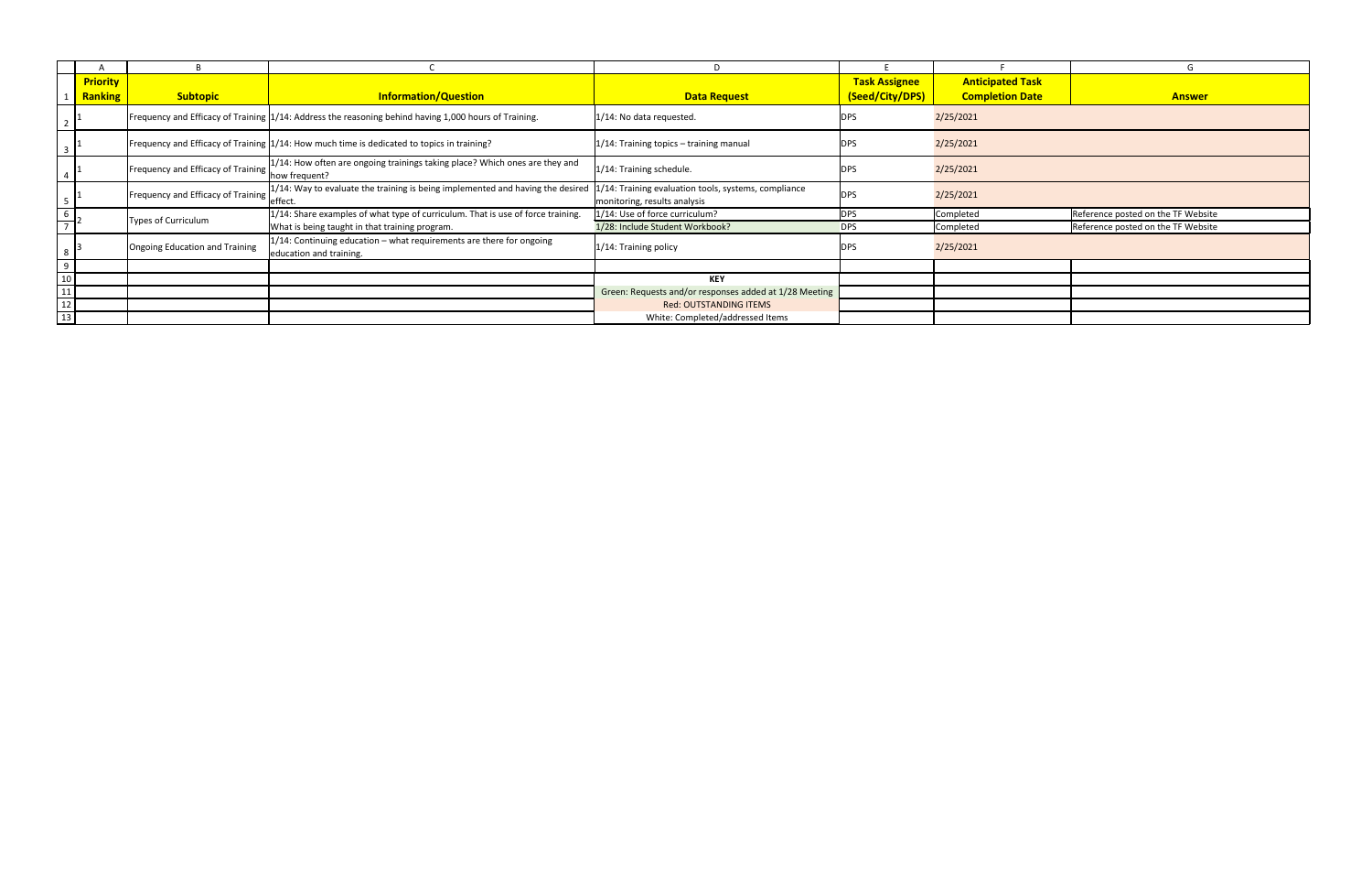|                                                          |                 |                                    |                                                                                                       |                                                                                      |                      |                         | $\blacksquare$                     |
|----------------------------------------------------------|-----------------|------------------------------------|-------------------------------------------------------------------------------------------------------|--------------------------------------------------------------------------------------|----------------------|-------------------------|------------------------------------|
|                                                          | <b>Priority</b> |                                    |                                                                                                       |                                                                                      | <b>Task Assignee</b> | <b>Anticipated Task</b> |                                    |
|                                                          | <b>Ranking</b>  | <b>Subtopic</b>                    | <b>Information/Question</b>                                                                           | <b>Data Request</b>                                                                  | (Seed/City/DPS)      | <b>Completion Date</b>  | <b>Answer</b>                      |
|                                                          |                 |                                    | Frequency and Efficacy of Training 1/14: Address the reasoning behind having 1,000 hours of Training. | 1/14: No data requested.                                                             | <b>DPS</b>           | 2/25/2021               |                                    |
|                                                          |                 |                                    | Frequency and Efficacy of Training 1/14: How much time is dedicated to topics in training?            | 1/14: Training topics - training manual                                              | <b>DPS</b>           | 2/25/2021               |                                    |
|                                                          |                 | Frequency and Efficacy of Training | $1/14$ : How often are ongoing trainings taking place? Which ones are they and<br>how frequent?       | 1/14: Training schedule.                                                             | <b>DPS</b>           | 2/25/2021               |                                    |
|                                                          |                 | Frequency and Efficacy of Training | $1/14$ : Way to evaluate the training is being implemented and having the desired<br>effect           | 1/14: Training evaluation tools, systems, compliance<br>monitoring, results analysis | <b>DPS</b>           | 2/25/2021               |                                    |
|                                                          |                 | Types of Curriculum                | 1/14: Share examples of what type of curriculum. That is use of force training.                       | 1/14: Use of force curriculum?                                                       | <b>DPS</b>           | Completed               | Reference posted on the TF Website |
|                                                          |                 |                                    | What is being taught in that training program.                                                        | 1/28: Include Student Workbook?                                                      | <b>DPS</b>           | Completed               | Reference posted on the TF Website |
| 8                                                        |                 | Ongoing Education and Training     | $1/14$ : Continuing education – what requirements are there for ongoing<br>education and training.    | 1/14: Training policy                                                                | <b>DPS</b>           | 2/25/2021               |                                    |
|                                                          |                 |                                    |                                                                                                       |                                                                                      |                      |                         |                                    |
| $\begin{array}{r} 9 \\ \underline{10} \\ 11 \end{array}$ |                 |                                    |                                                                                                       | <b>KEY</b>                                                                           |                      |                         |                                    |
|                                                          |                 |                                    |                                                                                                       | Green: Requests and/or responses added at 1/28 Meeting                               |                      |                         |                                    |
| $\frac{1}{12}$                                           |                 |                                    |                                                                                                       | <b>Red: OUTSTANDING ITEMS</b>                                                        |                      |                         |                                    |
| $\frac{1}{13}$                                           |                 |                                    |                                                                                                       | White: Completed/addressed Items                                                     |                      |                         |                                    |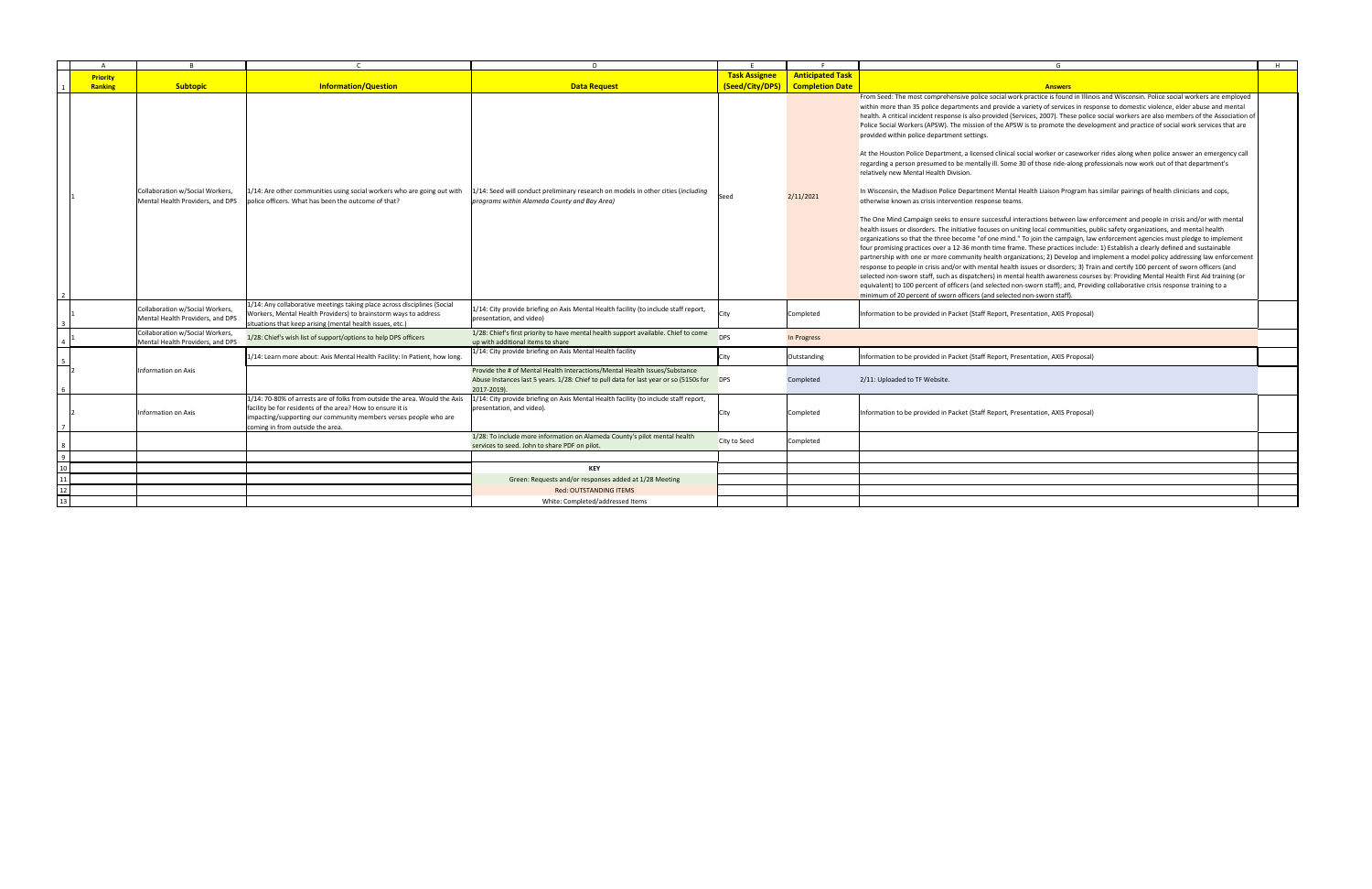|                 |                                                                     |                                                                                                                                                                                                                                                  | D.                                                                                                                                                                                     |                      |                                        |                                                                                                                                                                                                                                                                                                                                                                                                                                                                                                                                                                                                                                                                                                                                                                                                                                                                                                                                                                                                                                                                                                                                                                                                                                                                                                                                                                                                                                                                                                                                                                                                                                                                                                                                                                                                                                                                                                                                                                                                                                                                                                                                                                                                                                                                                                 | H |
|-----------------|---------------------------------------------------------------------|--------------------------------------------------------------------------------------------------------------------------------------------------------------------------------------------------------------------------------------------------|----------------------------------------------------------------------------------------------------------------------------------------------------------------------------------------|----------------------|----------------------------------------|-------------------------------------------------------------------------------------------------------------------------------------------------------------------------------------------------------------------------------------------------------------------------------------------------------------------------------------------------------------------------------------------------------------------------------------------------------------------------------------------------------------------------------------------------------------------------------------------------------------------------------------------------------------------------------------------------------------------------------------------------------------------------------------------------------------------------------------------------------------------------------------------------------------------------------------------------------------------------------------------------------------------------------------------------------------------------------------------------------------------------------------------------------------------------------------------------------------------------------------------------------------------------------------------------------------------------------------------------------------------------------------------------------------------------------------------------------------------------------------------------------------------------------------------------------------------------------------------------------------------------------------------------------------------------------------------------------------------------------------------------------------------------------------------------------------------------------------------------------------------------------------------------------------------------------------------------------------------------------------------------------------------------------------------------------------------------------------------------------------------------------------------------------------------------------------------------------------------------------------------------------------------------------------------------|---|
| <b>Priority</b> |                                                                     |                                                                                                                                                                                                                                                  |                                                                                                                                                                                        | <b>Task Assignee</b> | <b>Anticipated Task</b>                |                                                                                                                                                                                                                                                                                                                                                                                                                                                                                                                                                                                                                                                                                                                                                                                                                                                                                                                                                                                                                                                                                                                                                                                                                                                                                                                                                                                                                                                                                                                                                                                                                                                                                                                                                                                                                                                                                                                                                                                                                                                                                                                                                                                                                                                                                                 |   |
| <b>Ranking</b>  | <b>Subtopic</b>                                                     | <b>Information/Question</b>                                                                                                                                                                                                                      | <b>Data Request</b>                                                                                                                                                                    |                      | <b>(Seed/City/DPS) Completion Date</b> | <b>Answers</b>                                                                                                                                                                                                                                                                                                                                                                                                                                                                                                                                                                                                                                                                                                                                                                                                                                                                                                                                                                                                                                                                                                                                                                                                                                                                                                                                                                                                                                                                                                                                                                                                                                                                                                                                                                                                                                                                                                                                                                                                                                                                                                                                                                                                                                                                                  |   |
|                 | Collaboration w/Social Workers,<br>Mental Health Providers, and DPS | 1/14: Are other communities using social workers who are going out with<br>police officers. What has been the outcome of that?                                                                                                                   | L/14: Seed will conduct preliminary research on models in other cities (including<br>programs within Alameda County and Bay Area)                                                      | Seed                 | 2/11/2021                              | From Seed: The most comprehensive police social work practice is found in Illinois and Wisconsin. Police social workers are employed<br>within more than 35 police departments and provide a variety of services in response to domestic violence, elder abuse and mental<br>health. A critical incident response is also provided (Services, 2007). These police social workers are also members of the Association of<br>Police Social Workers (APSW). The mission of the APSW is to promote the development and practice of social work services that are<br>provided within police department settings.<br>At the Houston Police Department, a licensed clinical social worker or caseworker rides along when police answer an emergency call<br>regarding a person presumed to be mentally ill. Some 30 of those ride-along professionals now work out of that department's<br>relatively new Mental Health Division.<br>In Wisconsin, the Madison Police Department Mental Health Liaison Program has similar pairings of health clinicians and cops,<br>otherwise known as crisis intervention response teams.<br>The One Mind Campaign seeks to ensure successful interactions between law enforcement and people in crisis and/or with mental<br>health issues or disorders. The initiative focuses on uniting local communities, public safety organizations, and mental health<br>organizations so that the three become "of one mind." To join the campaign, law enforcement agencies must pledge to implement<br>four promising practices over a 12-36 month time frame. These practices include: 1) Establish a clearly defined and sustainable<br>partnership with one or more community health organizations; 2) Develop and implement a model policy addressing law enforcement<br>response to people in crisis and/or with mental health issues or disorders; 3) Train and certify 100 percent of sworn officers (and<br>selected non-sworn staff, such as dispatchers) in mental health awareness courses by: Providing Mental Health First Aid training (or<br>equivalent) to 100 percent of officers (and selected non-sworn staff); and, Providing collaborative crisis response training to a<br>minimum of 20 percent of sworn officers (and selected non-sworn staff). |   |
|                 | Collaboration w/Social Workers,<br>Mental Health Providers, and DPS | 1/14: Any collaborative meetings taking place across disciplines (Social<br>Workers, Mental Health Providers) to brainstorm ways to address<br>situations that keep arising (mental health issues, etc.)                                         | 1/14: City provide briefing on Axis Mental Health facility (to include staff report,<br>presentation, and video)                                                                       | City                 | Completed                              | Information to be provided in Packet (Staff Report, Presentation, AXIS Proposal)                                                                                                                                                                                                                                                                                                                                                                                                                                                                                                                                                                                                                                                                                                                                                                                                                                                                                                                                                                                                                                                                                                                                                                                                                                                                                                                                                                                                                                                                                                                                                                                                                                                                                                                                                                                                                                                                                                                                                                                                                                                                                                                                                                                                                |   |
|                 | Collaboration w/Social Workers,<br>Mental Health Providers, and DPS | /28: Chief's wish list of support/options to help DPS officers                                                                                                                                                                                   | 1/28: Chief's first priority to have mental health support available. Chief to come<br>up with additional items to share                                                               | <b>DPS</b>           | In Progress                            |                                                                                                                                                                                                                                                                                                                                                                                                                                                                                                                                                                                                                                                                                                                                                                                                                                                                                                                                                                                                                                                                                                                                                                                                                                                                                                                                                                                                                                                                                                                                                                                                                                                                                                                                                                                                                                                                                                                                                                                                                                                                                                                                                                                                                                                                                                 |   |
|                 |                                                                     | 1/14: Learn more about: Axis Mental Health Facility: In Patient, how long                                                                                                                                                                        | $1/14$ : City provide briefing on Axis Mental Health facility                                                                                                                          | <b>City</b>          | Outstanding                            | Information to be provided in Packet (Staff Report, Presentation, AXIS Proposal)                                                                                                                                                                                                                                                                                                                                                                                                                                                                                                                                                                                                                                                                                                                                                                                                                                                                                                                                                                                                                                                                                                                                                                                                                                                                                                                                                                                                                                                                                                                                                                                                                                                                                                                                                                                                                                                                                                                                                                                                                                                                                                                                                                                                                |   |
|                 | Information on Axis                                                 |                                                                                                                                                                                                                                                  | Provide the # of Mental Health Interactions/Mental Health Issues/Substance<br>Abuse Instances last 5 years. 1/28: Chief to pull data for last year or so (5150s for DPS<br>2017-2019). |                      | Completed                              | 2/11: Uploaded to TF Website.                                                                                                                                                                                                                                                                                                                                                                                                                                                                                                                                                                                                                                                                                                                                                                                                                                                                                                                                                                                                                                                                                                                                                                                                                                                                                                                                                                                                                                                                                                                                                                                                                                                                                                                                                                                                                                                                                                                                                                                                                                                                                                                                                                                                                                                                   |   |
|                 | Information on Axis                                                 | 1/14: 70-80% of arrests are of folks from outside the area. Would the Axis<br>facility be for residents of the area? How to ensure it is<br>impacting/supporting our community members verses people who are<br>coming in from outside the area. | $1/14$ : City provide briefing on Axis Mental Health facility (to include staff report,<br>presentation, and video).                                                                   | <b>City</b>          | Completed                              | Information to be provided in Packet (Staff Report, Presentation, AXIS Proposal)                                                                                                                                                                                                                                                                                                                                                                                                                                                                                                                                                                                                                                                                                                                                                                                                                                                                                                                                                                                                                                                                                                                                                                                                                                                                                                                                                                                                                                                                                                                                                                                                                                                                                                                                                                                                                                                                                                                                                                                                                                                                                                                                                                                                                |   |
|                 |                                                                     |                                                                                                                                                                                                                                                  | 1/28: To include more information on Alameda County's pilot mental health<br>services to seed. John to share PDF on pilot.                                                             | City to Seed         | Completed                              |                                                                                                                                                                                                                                                                                                                                                                                                                                                                                                                                                                                                                                                                                                                                                                                                                                                                                                                                                                                                                                                                                                                                                                                                                                                                                                                                                                                                                                                                                                                                                                                                                                                                                                                                                                                                                                                                                                                                                                                                                                                                                                                                                                                                                                                                                                 |   |
|                 |                                                                     |                                                                                                                                                                                                                                                  |                                                                                                                                                                                        |                      |                                        |                                                                                                                                                                                                                                                                                                                                                                                                                                                                                                                                                                                                                                                                                                                                                                                                                                                                                                                                                                                                                                                                                                                                                                                                                                                                                                                                                                                                                                                                                                                                                                                                                                                                                                                                                                                                                                                                                                                                                                                                                                                                                                                                                                                                                                                                                                 |   |
|                 |                                                                     |                                                                                                                                                                                                                                                  | <b>KEY</b>                                                                                                                                                                             |                      |                                        |                                                                                                                                                                                                                                                                                                                                                                                                                                                                                                                                                                                                                                                                                                                                                                                                                                                                                                                                                                                                                                                                                                                                                                                                                                                                                                                                                                                                                                                                                                                                                                                                                                                                                                                                                                                                                                                                                                                                                                                                                                                                                                                                                                                                                                                                                                 |   |
|                 |                                                                     |                                                                                                                                                                                                                                                  | Green: Requests and/or responses added at 1/28 Meeting                                                                                                                                 |                      |                                        |                                                                                                                                                                                                                                                                                                                                                                                                                                                                                                                                                                                                                                                                                                                                                                                                                                                                                                                                                                                                                                                                                                                                                                                                                                                                                                                                                                                                                                                                                                                                                                                                                                                                                                                                                                                                                                                                                                                                                                                                                                                                                                                                                                                                                                                                                                 |   |
|                 |                                                                     |                                                                                                                                                                                                                                                  | <b>Red: OUTSTANDING ITEMS</b>                                                                                                                                                          |                      |                                        |                                                                                                                                                                                                                                                                                                                                                                                                                                                                                                                                                                                                                                                                                                                                                                                                                                                                                                                                                                                                                                                                                                                                                                                                                                                                                                                                                                                                                                                                                                                                                                                                                                                                                                                                                                                                                                                                                                                                                                                                                                                                                                                                                                                                                                                                                                 |   |
|                 |                                                                     |                                                                                                                                                                                                                                                  | White: Completed/addressed Items                                                                                                                                                       |                      |                                        |                                                                                                                                                                                                                                                                                                                                                                                                                                                                                                                                                                                                                                                                                                                                                                                                                                                                                                                                                                                                                                                                                                                                                                                                                                                                                                                                                                                                                                                                                                                                                                                                                                                                                                                                                                                                                                                                                                                                                                                                                                                                                                                                                                                                                                                                                                 |   |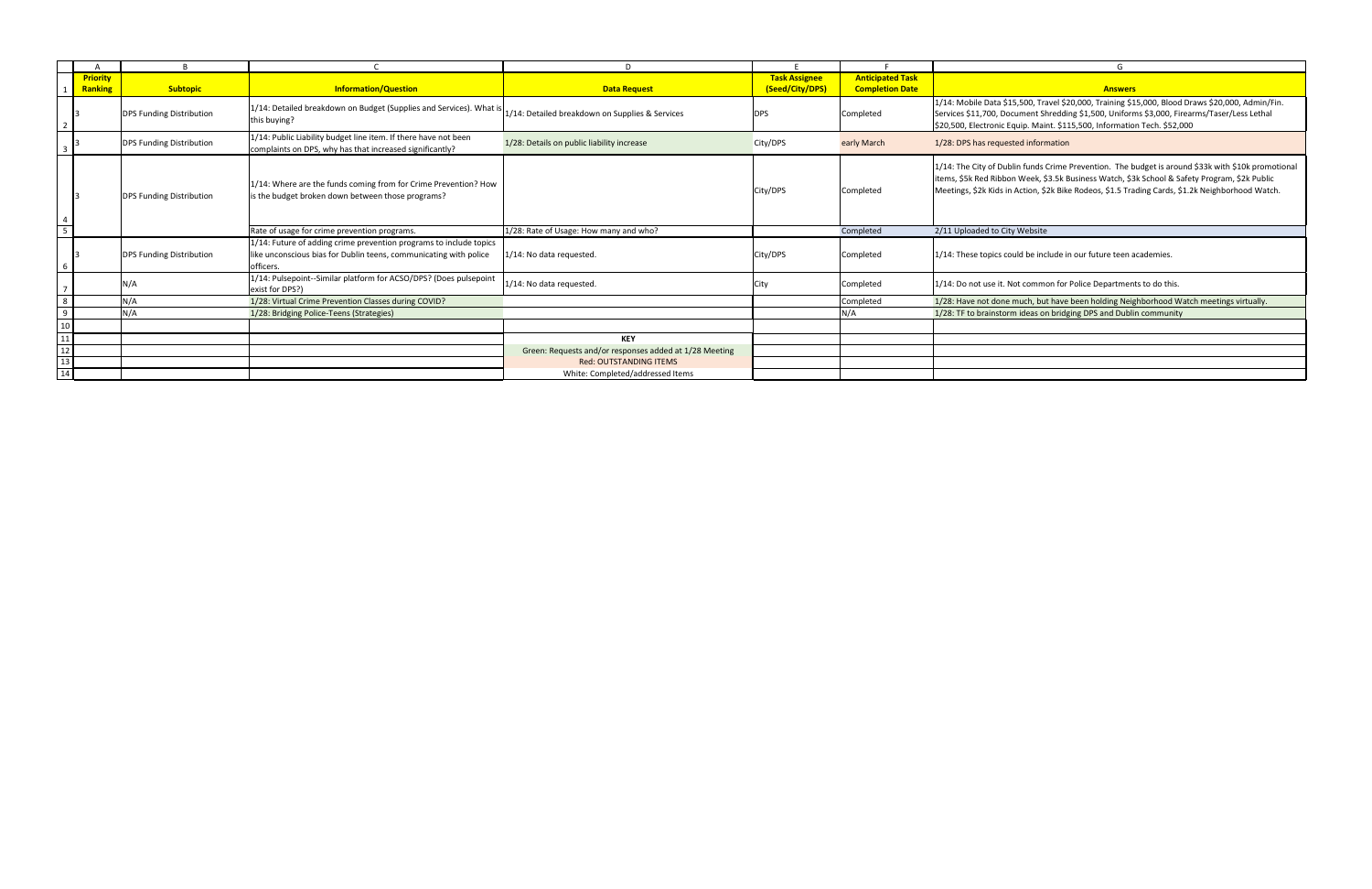|                                                                                  |                 |                                 |                                                                                                                                                      | D.                                                     |                      |                         | G                                                                                                                                                                                                                                                                                                       |
|----------------------------------------------------------------------------------|-----------------|---------------------------------|------------------------------------------------------------------------------------------------------------------------------------------------------|--------------------------------------------------------|----------------------|-------------------------|---------------------------------------------------------------------------------------------------------------------------------------------------------------------------------------------------------------------------------------------------------------------------------------------------------|
|                                                                                  | <b>Priority</b> |                                 |                                                                                                                                                      |                                                        | <b>Task Assignee</b> | <b>Anticipated Task</b> |                                                                                                                                                                                                                                                                                                         |
|                                                                                  | <b>Ranking</b>  | <b>Subtopic</b>                 | <b>Information/Question</b>                                                                                                                          | <b>Data Request</b>                                    | (Seed/City/DPS)      | <b>Completion Date</b>  | <b>Answers</b>                                                                                                                                                                                                                                                                                          |
|                                                                                  |                 | <b>DPS Funding Distribution</b> | 1/14: Detailed breakdown on Budget (Supplies and Services). What is<br>this buying?                                                                  | 1/14: Detailed breakdown on Supplies & Services        | <b>DPS</b>           | Completed               | 1/14: Mobile Data \$15,500, Travel \$20,000, Training \$15,000, Blood Draws \$20,000, Admin/Fin.<br>Services \$11,700, Document Shredding \$1,500, Uniforms \$3,000, Firearms/Taser/Less Lethal<br>\$20,500, Electronic Equip. Maint. \$115,500, Information Tech. \$52,000                             |
|                                                                                  |                 | <b>DPS Funding Distribution</b> | 1/14: Public Liability budget line item. If there have not been<br>complaints on DPS, why has that increased significantly?                          | 1/28: Details on public liability increase             | City/DPS             | early March             | 1/28: DPS has requested information                                                                                                                                                                                                                                                                     |
|                                                                                  |                 | <b>DPS Funding Distribution</b> | 1/14: Where are the funds coming from for Crime Prevention? How<br>is the budget broken down between those programs?                                 |                                                        | City/DPS             | Completed               | 1/14: The City of Dublin funds Crime Prevention. The budget is around \$33k with \$10k promotional<br>items, \$5k Red Ribbon Week, \$3.5k Business Watch, \$3k School & Safety Program, \$2k Public<br>Meetings, \$2k Kids in Action, \$2k Bike Rodeos, \$1.5 Trading Cards, \$1.2k Neighborhood Watch. |
| $\overline{5}$                                                                   |                 |                                 | Rate of usage for crime prevention programs.                                                                                                         | 1/28: Rate of Usage: How many and who?                 |                      | Completed               | 2/11 Uploaded to City Website                                                                                                                                                                                                                                                                           |
| $6\overline{6}$                                                                  |                 | <b>DPS Funding Distribution</b> | 1/14: Future of adding crime prevention programs to include topics<br>like unconscious bias for Dublin teens, communicating with police<br>officers. | 1/14: No data requested                                | City/DPS             | Completed               | 1/14: These topics could be include in our future teen academies.                                                                                                                                                                                                                                       |
|                                                                                  |                 | N/A                             | 1/14: Pulsepoint--Similar platform for ACSO/DPS? (Does pulsepoint<br>exist for DPS?)                                                                 | 1/14: No data requested                                | City                 | Completed               | $1/14$ : Do not use it. Not common for Police Departments to do this.                                                                                                                                                                                                                                   |
|                                                                                  |                 | N/A                             | 1/28: Virtual Crime Prevention Classes during COVID?                                                                                                 |                                                        |                      | Completed               | 1/28: Have not done much, but have been holding Neighborhood Watch meetings virtually.                                                                                                                                                                                                                  |
| 9 <sub>o</sub>                                                                   |                 | N/A                             | 1/28: Bridging Police-Teens (Strategies)                                                                                                             |                                                        |                      | N/A                     | 1/28: TF to brainstorm ideas on bridging DPS and Dublin community                                                                                                                                                                                                                                       |
| 10 <sub>1</sub>                                                                  |                 |                                 |                                                                                                                                                      |                                                        |                      |                         |                                                                                                                                                                                                                                                                                                         |
| $\overline{11}$                                                                  |                 |                                 |                                                                                                                                                      | <b>KEY</b>                                             |                      |                         |                                                                                                                                                                                                                                                                                                         |
| $\begin{array}{c}\n\overline{12} \\ \overline{13} \\ \overline{14}\n\end{array}$ |                 |                                 |                                                                                                                                                      | Green: Requests and/or responses added at 1/28 Meeting |                      |                         |                                                                                                                                                                                                                                                                                                         |
|                                                                                  |                 |                                 |                                                                                                                                                      | <b>Red: OUTSTANDING ITEMS</b>                          |                      |                         |                                                                                                                                                                                                                                                                                                         |
|                                                                                  |                 |                                 |                                                                                                                                                      | White: Completed/addressed Items                       |                      |                         |                                                                                                                                                                                                                                                                                                         |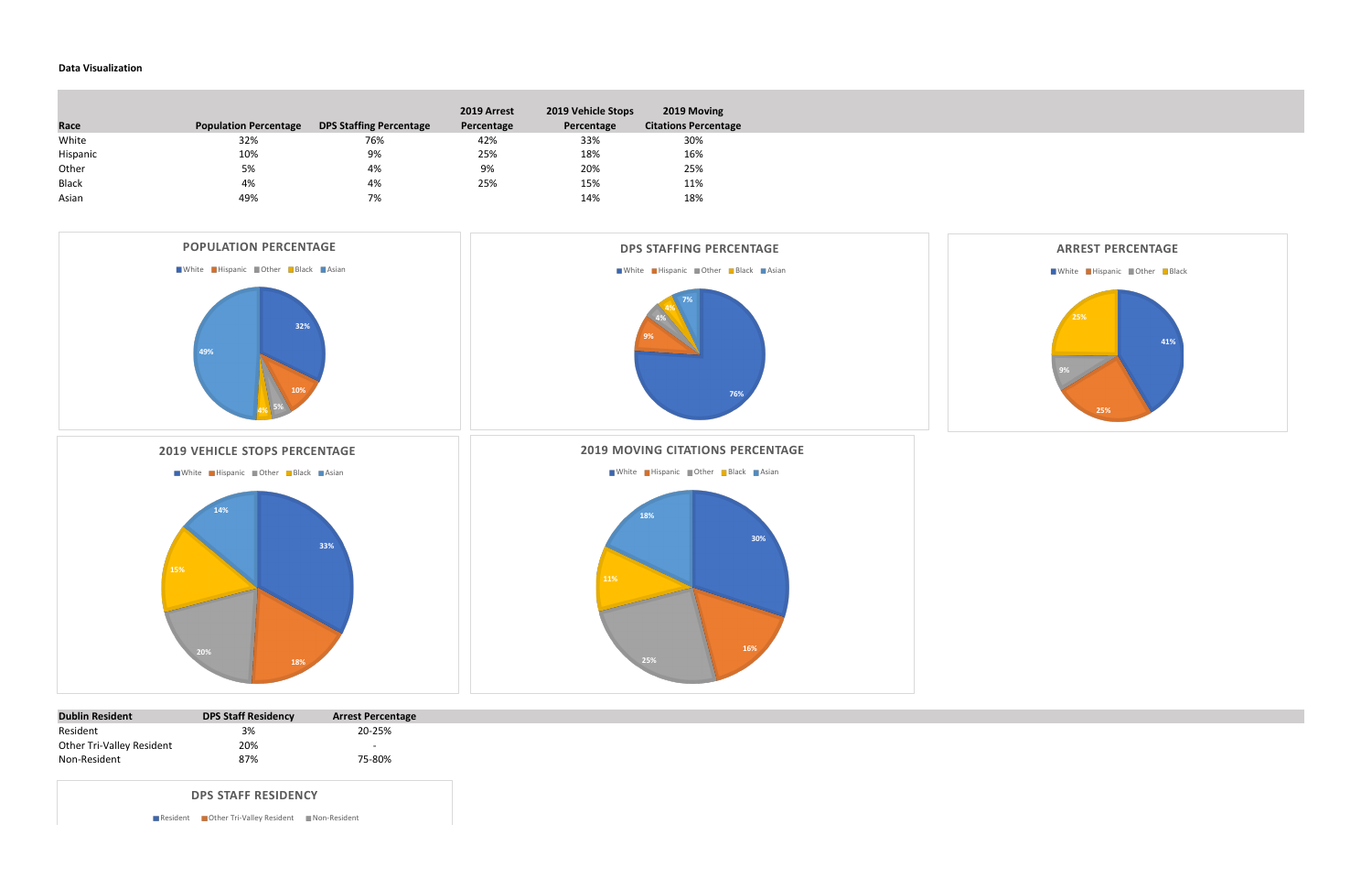## **Data Visualization**

**College** 

| Race         | <b>Population Percentage</b> | <b>DPS Staffing Percentage</b> | 2019 Arrest<br>Percentage | 2019 Vehicle Stops<br>Percentage | 2019 Moving<br><b>Citations Percentage</b> |
|--------------|------------------------------|--------------------------------|---------------------------|----------------------------------|--------------------------------------------|
| White        | 32%                          | 76%                            | 42%                       | 33%                              | 30%                                        |
| Hispanic     | 10%                          | 9%                             | 25%                       | 18%                              | 16%                                        |
| Other        | 5%                           | 4%                             | 9%                        | 20%                              | 25%                                        |
| <b>Black</b> | 4%                           | 4%                             | 25%                       | 15%                              | 11%                                        |
| Asian        | 49%                          | 7%                             |                           | 14%                              | 18%                                        |

| <b>Dublin Resident</b>    | <b>DPS Staff Residency</b> | <b>Arrest Percentage</b> |
|---------------------------|----------------------------|--------------------------|
| Resident                  | 3%                         | 20-25%                   |
| Other Tri-Valley Resident | 20%                        | -                        |
| Non-Resident              | 87%                        | 75-80%                   |



**DPS STAFF RESIDENCY**

Resident **Other Tri-Valley Resident** Non-Resident

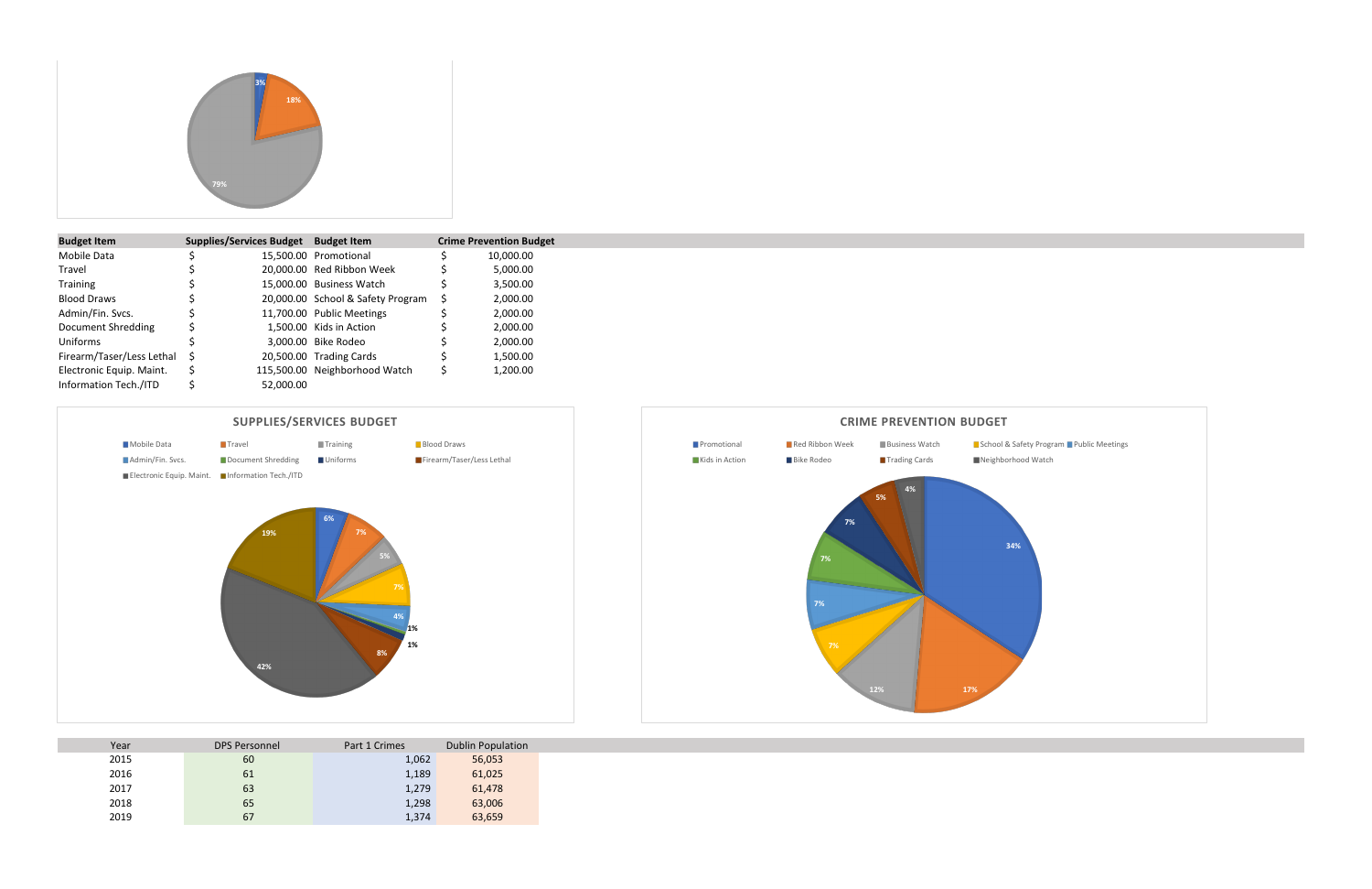| <b>Budget Item</b>        | <b>Supplies/Services Budget</b> | <b>Budget Item</b>                | <b>Crime Prevention Budget</b> |
|---------------------------|---------------------------------|-----------------------------------|--------------------------------|
| Mobile Data               |                                 | 15,500.00 Promotional             | 10,000.00                      |
| Travel                    |                                 | 20,000.00 Red Ribbon Week         | 5,000.00                       |
| Training                  |                                 | 15,000.00 Business Watch          | 3,500.00                       |
| <b>Blood Draws</b>        |                                 | 20,000.00 School & Safety Program | 2,000.00                       |
| Admin/Fin. Svcs.          |                                 | 11,700.00 Public Meetings         | 2,000.00                       |
| Document Shredding        |                                 | 1,500.00 Kids in Action           | 2,000.00                       |
| Uniforms                  |                                 | 3,000.00 Bike Rodeo               | 2,000.00                       |
| Firearm/Taser/Less Lethal |                                 | 20,500.00 Trading Cards           | 1,500.00                       |
| Electronic Equip. Maint.  |                                 | 115,500.00 Neighborhood Watch     | 1,200.00                       |
| Information Tech./ITD     | 52,000.00                       |                                   |                                |

| Year | <b>DPS Personnel</b> | Part 1 Crimes | <b>Dublin Population</b> |
|------|----------------------|---------------|--------------------------|
| 2015 | 60                   | 1,062         | 56,053                   |
| 2016 | 61                   | 1,189         | 61,025                   |
| 2017 | 63                   | 1,279         | 61,478                   |
| 2018 | 65                   | 1,298         | 63,006                   |
| 2019 | 67                   | 1,374         | 63,659                   |